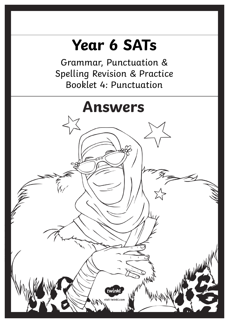# **Year 6 SATs**

Grammar, Punctuation & Spelling Revision & Practice Booklet 4: Punctuation

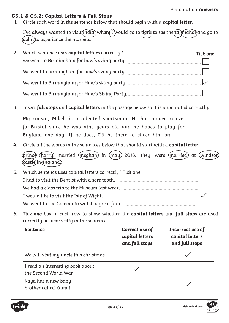#### **G5.1 & G5.2: Capital Letters & Full Stops**

1. Circle each word in the sentence below that should begin with a **capital letter**.

I've always wanted to visit (india,)where i would go to  $\widehat{a}$  ard to see the  $\widehat{t}$  and and go to (delhi)to experience the markets.

| 2. | Which sentence uses capital letters correctly? | Tick one. |
|----|------------------------------------------------|-----------|
|    | we went to Birmingham for huw's skiing party.  |           |
|    | We went to birmingham for huw's skiing party.  |           |
|    |                                                |           |
|    | We went to Birmingham for Huw's Skiing Party.  |           |

3. Insert **full stops** and **capital letters** in the passage below so it is punctuated correctly.

**M**y cousin, **M**ikel, is a talented sportsman. **H**e has played cricket for **B**ristol since he was nine years old and he hopes to play for **E**ngland one day. **I**f he does, **I**'ll be there to cheer him on.

4. Circle all the words in the sentences below that should start with a **capital letter**.

| (prince (harry) married (meghan) in (may) 2018. they were (married) at (windsor) (castle)in(england.) |  |  |  |  |
|-------------------------------------------------------------------------------------------------------|--|--|--|--|
|                                                                                                       |  |  |  |  |
|                                                                                                       |  |  |  |  |

- 5. Which sentence uses capital letters correctly? Tick one. I had to visit the Dentist with a sore tooth. ............................................................. We had a class trip to the Museum last week. ........................................................... I would like to visit the Isle of Wight. ........................................................................ We went to the Cinema to watch a great film. .........................................................
- 6. Tick **one** box in each row to show whether the **capital letters** and **full stops** are used correctly or incorrectly in the sentence.

| <b>Sentence</b>                                           | Correct use of<br>capital letters<br>and full stops | Incorrect use of<br>capital letters<br>and full stops |
|-----------------------------------------------------------|-----------------------------------------------------|-------------------------------------------------------|
| We will visit my uncle this christmas                     |                                                     |                                                       |
| I read an interesting book about<br>the Second World War. |                                                     |                                                       |
| Kaya has a new baby<br>brother called Kamal               |                                                     |                                                       |



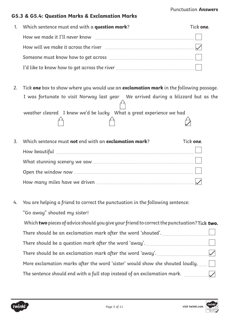#### Punctuation **Answers**

#### **G5.3 & G5.4: Question Marks & Exclamation Marks**

| 1. Which sentence must end with a <b>question mark</b> ? | Tick one. |
|----------------------------------------------------------|-----------|
| How we made it I'll never know                           |           |
|                                                          |           |
|                                                          |           |
|                                                          |           |

2. Tick **one** box to show where you would use an **exclamation mark** in the following passage. I was fortunate to visit Norway last year We arrived during a blizzard but as the weather cleared I knew we'd be lucky What a great experience we had

| 3. | Which sentence must not end with an exclamation mark? | Tick one. |
|----|-------------------------------------------------------|-----------|
|    |                                                       |           |
|    |                                                       |           |
|    |                                                       |           |
|    |                                                       |           |

4. You are helping a friend to correct the punctuation in the following sentence:

"Go away" shouted my sister! Which **two** pieces of advice should you give your friend to correct the punctuation? **Tick two.** Tick **two.** There should be an exclamation mark after the word 'shouted'. <u>................................</u>.... There should be a question mark after the word 'away'. ................................................. There should be an exclamation mark after the word 'away'. ........................................ More exclamation marks after the word 'sister' would show she shouted loudly. ........ The sentence should end with a full stop instead of an exclamation mark.  $\quad \, \ldots \, \ldots \, \ldots \, \ldots \, \ldots \, \ldots \, \ldots$ 

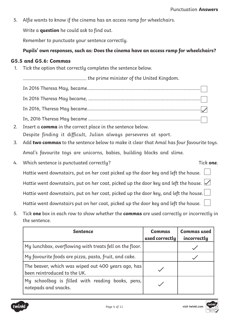5. Alfie wants to know if the cinema has an access ramp for wheelchairs.

Write a **question** he could ask to find out.

Remember to punctuate your sentence correctly.

#### **Pupils' own responses, such as: Does the cinema have an access ramp for wheelchairs?**

#### **G5.5 and G5.6: Commas**

1. Tick the option that correctly completes the sentence below.

the prime minister of the United Kingdom.

- In 2016 Theresa May, became........................................................................................ In 2016 Theresa May became, ....................................................................................... In 2016, Theresa May became........................................................................................ In, 2016 Theresa May became .......................................................................................
- 2. Insert a **comma** in the correct place in the sentence below. Despite finding it difficult, Julian always perseveres at sport.
- 3. Add **two commas** to the sentence below to make it clear that Amal has four favourite toys. Amal's favourite toys are unicorns, babies, building blocks and slime.
- 4. Which sentence is punctuated correctly? Tick **one**. Hattie went downstairs, put on her coat picked up the door key and left the house.  $\Box$ Hattie went downstairs, put on her coat, picked up the door key and left the house.  $\sqrt{}$ Hattie went downstairs, put on her coat, picked up the door key, and left the house. Hattie went downstairs put on her coat, picked up the door key and left the house.
- 5. Tick **one** box in each row to show whether the **commas** are used correctly or incorrectly in the sentence.

| <b>Sentence</b>                                                                    | <b>Commas</b><br>used correctly | <b>Commas used</b><br>incorrectly |
|------------------------------------------------------------------------------------|---------------------------------|-----------------------------------|
| My lunchbox, overflowing with treats fell on the floor.                            |                                 |                                   |
| My favourite foods are pizza, pasta, fruit, and cake.                              |                                 |                                   |
| The beaver, which was wiped out 400 years ago, has<br>been reintroduced to the UK. |                                 |                                   |
| My schoolbag is filled with reading books, pens,<br>notepads and snacks.           |                                 |                                   |

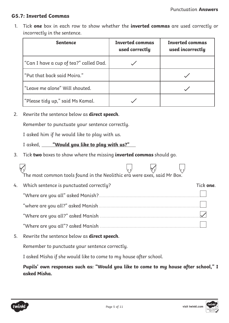#### **G5.7: Inverted Commas**

1. Tick **one** box in each row to show whether the **inverted commas** are used correctly or incorrectly in the sentence.

| <b>Sentence</b>                        | <b>Inverted commas</b><br>used correctly | <b>Inverted commas</b><br>used incorrectly |
|----------------------------------------|------------------------------------------|--------------------------------------------|
| "Can I have a cup of tea?" called Dad. |                                          |                                            |
| "Put that back said Moira."            |                                          |                                            |
| "Leave me alone" Will shouted.         |                                          |                                            |
| "Please tidy up," said Ms Kamal.       |                                          |                                            |

2. Rewrite the sentence below as **direct speech**.

Remember to punctuate your sentence correctly.

I asked him if he would like to play with us.

I asked, **"Would you like to play with us?"**

3. Tick **two** boxes to show where the missing **inverted commas** should go.

|    | The most common tools found in the Neolithic era were axes, said Mr Box. $\,$ |  |                   |
|----|-------------------------------------------------------------------------------|--|-------------------|
|    |                                                                               |  | Tick <b>one</b> . |
| 4. | Which sentence is punctuated correctly?                                       |  |                   |
|    | "Where are you all" asked Manish?.                                            |  |                   |
|    | "where are you all?" asked Manish                                             |  |                   |
|    | "Where are you all?" asked Manish                                             |  |                   |
|    | "Where are you all"? asked Manish                                             |  |                   |

5. Rewrite the sentence below as **direct speech**. Remember to punctuate your sentence correctly.

I asked Misha if she would like to come to my house after school.

**Pupils' own responses such as: "Would you like to come to my house after school," I asked Misha.**



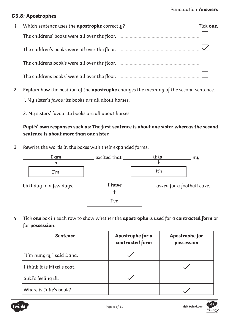#### Punctuation **Answers**

#### **G5.8: Apostrophes**

| 1. | Which sentence uses the <b>apostrophe</b> correctly? | Tick <b>one</b> . |
|----|------------------------------------------------------|-------------------|
|    |                                                      |                   |
|    |                                                      |                   |
|    |                                                      |                   |
|    | The childrens books' were all over the floor.        |                   |

- 2. Explain how the position of the **apostrophe** changes the meaning of the second sentence.
	- 1. My sister's favourite books are all about horses.
	- 2. My sisters' favourite books are all about horses.

# **Pupils' own responses such as: The first sentence is about one sister whereas the second sentence is about more than one sister.**

3. Rewrite the words in the boxes with their expanded forms.



4. Tick **one** box in each row to show whether the **apostrophe** is used for a **contracted form** or for **possession**.

| <b>Sentence</b>             | Apostrophe for a<br>contracted form | Apostrophe for<br>possession |
|-----------------------------|-------------------------------------|------------------------------|
| "I'm hungry," said Dana.    |                                     |                              |
| I think it is Mikel's coat. |                                     |                              |
| Suki's feeling ill.         |                                     |                              |
| Where is Julie's book?      |                                     |                              |



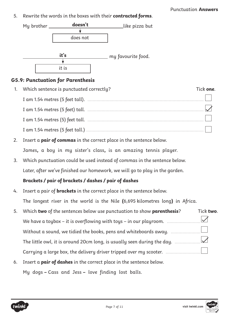5. Rewrite the words in the boxes with their **contracted forms**.





# **G5.9: Punctuation for Parenthesis**

| Which sentence is punctuated correctly? | Tick <b>one</b> . |
|-----------------------------------------|-------------------|
|                                         |                   |
| I am 1.54 metres (5 feet) tall.         |                   |
| I am 1.54 metres (5) feet tall.         |                   |
| I am 1.54 metres (5 feet tall.).        |                   |

- 2. Insert a **pair of commas** in the correct place in the sentence below. James**,** a boy in my sister's class**,** is an amazing tennis player.
- 3. Which punctuation could be used instead of commas in the sentence below. Later, after we've finished our homework, we will go to play in the garden.

# **Brackets / pair of brackets / dashes / pair of dashes**

4. Insert a pair of **brackets** in the correct place in the sentence below. The longest river in the world is the Nile **(**6,695 kilometres long**)** in Africa.

6. Insert a **pair of dashes** in the correct place in the sentence below. My dogs **–** Cass and Jess **–** love finding lost balls.

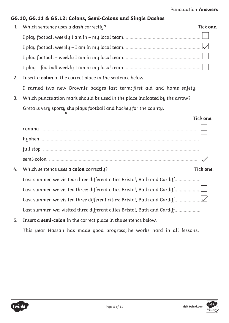| 1. | Which sentence uses a dash correctly?                                      | Tick one. |
|----|----------------------------------------------------------------------------|-----------|
|    |                                                                            |           |
|    |                                                                            |           |
|    |                                                                            |           |
|    |                                                                            |           |
| 2. | Insert a colon in the correct place in the sentence below.                 |           |
|    | I earned two new Brownie badges last term: first aid and home safety.      |           |
| 3. | Which punctuation mark should be used in the place indicated by the arrow? |           |
|    | Greta is very sporty she plays football and hockey for the county.         |           |
|    |                                                                            | Tick one. |
|    |                                                                            |           |
|    |                                                                            |           |
|    |                                                                            |           |
|    |                                                                            |           |
| 4. | Which sentence uses a colon correctly?                                     | Tick one. |
|    | Last summer, we visited: three different cities Bristol, Bath and Cardiff  |           |
|    | Last summer, we visited three: different cities Bristol, Bath and Cardiff  |           |
|    | Last summer, we visited three different cities: Bristol, Bath and Cardiff  |           |
|    | Last summer, we: visited three different cities Bristol, Bath and Cardiff  |           |

**G5.10, G5.11 & G5.12: Colons, Semi-Colons and Single Dashes**

5. Insert a **semi-colon** in the correct place in the sentence below. This year Hassan has made good progress**;** he works hard in all lessons.

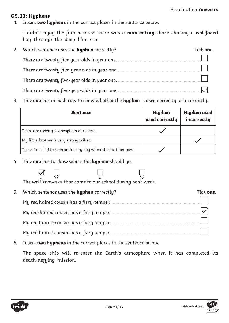#### **G5.13: Hyphens**

1. Insert **two hyphens** in the correct places in the sentence below.

I didn't enjoy the film because there was a **man-eating** shark chasing a **red-faced**  boy through the deep blue sea.

| 2. | Which sentence uses the <b>hyphen</b> correctly? | Tick <b>one</b> . |
|----|--------------------------------------------------|-------------------|
|    | There are twenty-five year olds in year one.     |                   |
|    | There are twenty-five-year olds in year one.     |                   |
|    | There are twenty five-year olds in year one.     |                   |
|    | There are twenty five-year-olds in year one.     |                   |

3. Tick **one** box in each row to show whether the **hyphen** is used correctly or incorrectly.

| <b>Sentence</b>                                            | Hyphen<br>used correctly | Hyphen used<br>incorrectly |
|------------------------------------------------------------|--------------------------|----------------------------|
| There are twenty-six people in our class.                  |                          |                            |
| My little-brother is very strong willed.                   |                          |                            |
| The vet needed to re-examine my dog when she hurt her paw. |                          |                            |

4. Tick **one** box to show where the **hyphen** should go.

The well known author came to our school during book week.

| 5. | Which sentence uses the <b>hyphen</b> correctly? | Tick <b>one</b> . |
|----|--------------------------------------------------|-------------------|
|    | My red haired cousin has a fiery-temper.         |                   |
|    | My red-haired cousin has a fiery temper.         |                   |
|    | My red haired-cousin has a fiery temper.         |                   |
|    | My red haired cousin-has a fiery temper.         |                   |

6. Insert **two hyphens** in the correct places in the sentence below.

The space ship will re-enter the Earth's atmosphere when it has completed its death-defying mission.



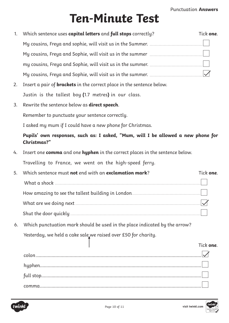# **Ten-Minute Test**

| 1. | Which sentence uses capital letters and full stops correctly?                                   | Tick one. |
|----|-------------------------------------------------------------------------------------------------|-----------|
|    |                                                                                                 |           |
|    |                                                                                                 |           |
|    |                                                                                                 |           |
|    |                                                                                                 |           |
| 2. | Insert a pair of <b>brackets</b> in the correct place in the sentence below.                    |           |
|    | Justin is the tallest boy (1.7 metres) in our class.                                            |           |
| 3. | Rewrite the sentence below as <b>direct speech</b> .                                            |           |
|    | Remember to punctuate your sentence correctly.                                                  |           |
|    | I asked my mum if I could have a new phone for Christmas.                                       |           |
|    | Pupils' own responses, such as: I asked, "Mum, will I be allowed a new phone for<br>Christmas?" |           |
| 4. | Insert one comma and one hyphen in the correct places in the sentence below.                    |           |
|    | Travelling to France, we went on the high-speed ferry.                                          |           |
| 5. | Which sentence must not end with an exclamation mark?                                           | Tick one. |
|    |                                                                                                 |           |
|    |                                                                                                 |           |
|    |                                                                                                 |           |
|    |                                                                                                 |           |
| 6. | Which punctuation mark should be used in the place indicated by the arrow?                      |           |
|    | Yesterday, we held a cake sale, we raised over £50 for charity.                                 |           |
|    |                                                                                                 | Tick one. |
|    |                                                                                                 |           |
|    |                                                                                                 |           |
|    |                                                                                                 |           |
|    |                                                                                                 |           |